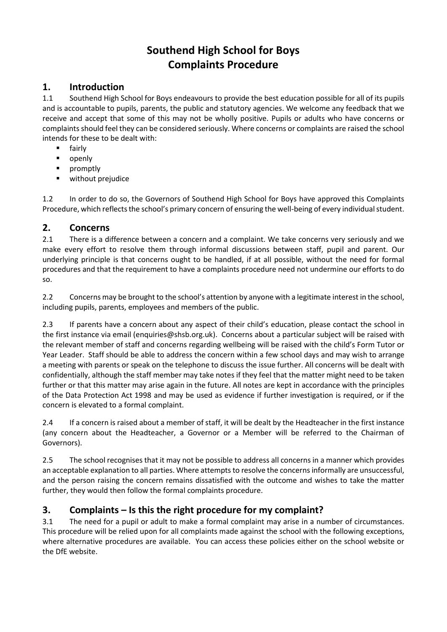# **Southend High School for Boys Complaints Procedure**

## **1. Introduction**

1.1 Southend High School for Boys endeavours to provide the best education possible for all of its pupils and is accountable to pupils, parents, the public and statutory agencies. We welcome any feedback that we receive and accept that some of this may not be wholly positive. Pupils or adults who have concerns or complaints should feel they can be considered seriously. Where concerns or complaints are raised the school intends for these to be dealt with:

- **fairly**
- **·** openly
- **•** promptly
- **•** without prejudice

1.2 In order to do so, the Governors of Southend High School for Boys have approved this Complaints Procedure, which reflects the school's primary concern of ensuring the well-being of every individual student.

## **2. Concerns**

2.1 There is a difference between a concern and a complaint. We take concerns very seriously and we make every effort to resolve them through informal discussions between staff, pupil and parent. Our underlying principle is that concerns ought to be handled, if at all possible, without the need for formal procedures and that the requirement to have a complaints procedure need not undermine our efforts to do so.

2.2 Concerns may be brought to the school's attention by anyone with a legitimate interest in the school, including pupils, parents, employees and members of the public.

2.3 If parents have a concern about any aspect of their child's education, please contact the school in the first instance via email (enquiries@shsb.org.uk). Concerns about a particular subject will be raised with the relevant member of staff and concerns regarding wellbeing will be raised with the child's Form Tutor or Year Leader. Staff should be able to address the concern within a few school days and may wish to arrange a meeting with parents or speak on the telephone to discuss the issue further. All concerns will be dealt with confidentially, although the staff member may take notes if they feel that the matter might need to be taken further or that this matter may arise again in the future. All notes are kept in accordance with the principles of the Data Protection Act 1998 and may be used as evidence if further investigation is required, or if the concern is elevated to a formal complaint.

2.4 If a concern is raised about a member of staff, it will be dealt by the Headteacher in the first instance (any concern about the Headteacher, a Governor or a Member will be referred to the Chairman of Governors).

2.5 The school recognises that it may not be possible to address all concerns in a manner which provides an acceptable explanation to all parties. Where attempts to resolve the concerns informally are unsuccessful, and the person raising the concern remains dissatisfied with the outcome and wishes to take the matter further, they would then follow the formal complaints procedure.

# **3. Complaints – Is this the right procedure for my complaint?**

3.1 The need for a pupil or adult to make a formal complaint may arise in a number of circumstances. This procedure will be relied upon for all complaints made against the school with the following exceptions, where alternative procedures are available. You can access these policies either on the school website or the DfE website.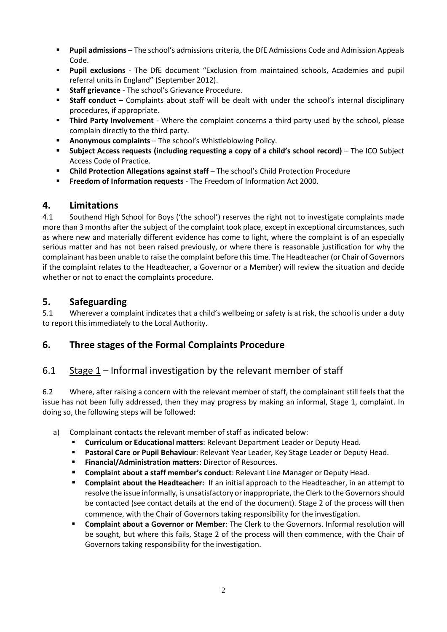- **Pupil admissions** The school's admissions criteria, the DfE Admissions Code and Admission Appeals Code.
- **Pupil exclusions** The DfE document "Exclusion from maintained schools, Academies and pupil referral units in England" (September 2012).
- **Staff grievance** The school's Grievance Procedure.
- **Staff conduct** Complaints about staff will be dealt with under the school's internal disciplinary procedures, if appropriate.
- **Third Party Involvement** Where the complaint concerns a third party used by the school, please complain directly to the third party.
- **Anonymous complaints** The school's Whistleblowing Policy.
- **Subject Access requests (including requesting a copy of a child's school record)** The ICO Subject Access Code of Practice.
- **Child Protection Allegations against staff** The school's Child Protection Procedure
- **Freedom of Information requests** The Freedom of Information Act 2000.

## **4. Limitations**

4.1 Southend High School for Boys ('the school') reserves the right not to investigate complaints made more than 3 months after the subject of the complaint took place, except in exceptional circumstances, such as where new and materially different evidence has come to light, where the complaint is of an especially serious matter and has not been raised previously, or where there is reasonable justification for why the complainant has been unable to raise the complaint before this time. The Headteacher (or Chair of Governors if the complaint relates to the Headteacher, a Governor or a Member) will review the situation and decide whether or not to enact the complaints procedure.

## **5. Safeguarding**

5.1 Wherever a complaint indicates that a child's wellbeing or safety is at risk, the school is under a duty to report this immediately to the Local Authority.

## **6. Three stages of the Formal Complaints Procedure**

## 6.1 Stage 1 – Informal investigation by the relevant member of staff

6.2 Where, after raising a concern with the relevant member of staff, the complainant still feels that the issue has not been fully addressed, then they may progress by making an informal, Stage 1, complaint. In doing so, the following steps will be followed:

- a) Complainant contacts the relevant member of staff as indicated below:
	- **Curriculum or Educational matters**: Relevant Department Leader or Deputy Head.
	- **Pastoral Care or Pupil Behaviour**: Relevant Year Leader, Key Stage Leader or Deputy Head.
	- **Financial/Administration matters**: Director of Resources.
	- **Complaint about a staff member's conduct**: Relevant Line Manager or Deputy Head.
	- **Complaint about the Headteacher:** If an initial approach to the Headteacher, in an attempt to resolve the issue informally, is unsatisfactory or inappropriate, the Clerk to the Governors should be contacted (see contact details at the end of the document). Stage 2 of the process will then commence, with the Chair of Governors taking responsibility for the investigation.
	- **Complaint about a Governor or Member**: The Clerk to the Governors. Informal resolution will be sought, but where this fails, Stage 2 of the process will then commence, with the Chair of Governors taking responsibility for the investigation.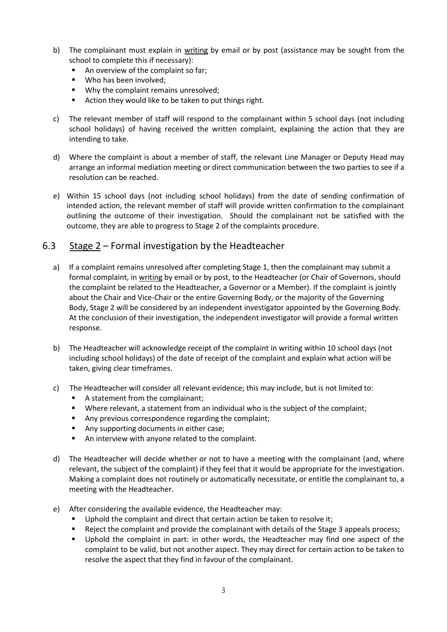- b) The complainant must explain in writing by email or by post (assistance may be sought from the school to complete this if necessary):
	- An overview of the complaint so far;
	- Who has been involved;
	- **Why the complaint remains unresolved:**
	- Action they would like to be taken to put things right.
- c) The relevant member of staff will respond to the complainant within 5 school days (not including school holidays) of having received the written complaint, explaining the action that they are intending to take.
- d) Where the complaint is about a member of staff, the relevant Line Manager or Deputy Head may arrange an informal mediation meeting or direct communication between the two parties to see if a resolution can be reached.
- e) Within 15 school days (not including school holidays) from the date of sending confirmation of intended action, the relevant member of staff will provide written confirmation to the complainant outlining the outcome of their investigation. Should the complainant not be satisfied with the outcome, they are able to progress to Stage 2 of the complaints procedure.

## 6.3 Stage 2 – Formal investigation by the Headteacher

- a) If a complaint remains unresolved after completing Stage 1, then the complainant may submit a formal complaint, in writing by email or by post, to the Headteacher (or Chair of Governors, should the complaint be related to the Headteacher, a Governor or a Member). If the complaint is jointly about the Chair and Vice-Chair or the entire Governing Body, or the majority of the Governing Body, Stage 2 will be considered by an independent investigator appointed by the Governing Body. At the conclusion of their investigation, the independent investigator will provide a formal written response.
- b) The Headteacher will acknowledge receipt of the complaint in writing within 10 school days (not including school holidays) of the date of receipt of the complaint and explain what action will be taken, giving clear timeframes.
- c) The Headteacher will consider all relevant evidence; this may include, but is not limited to:
	- A statement from the complainant;
	- Where relevant, a statement from an individual who is the subject of the complaint;
	- Any previous correspondence regarding the complaint;
	- Any supporting documents in either case;
	- An interview with anyone related to the complaint.
- d) The Headteacher will decide whether or not to have a meeting with the complainant (and, where relevant, the subject of the complaint) if they feel that it would be appropriate for the investigation. Making a complaint does not routinely or automatically necessitate, or entitle the complainant to, a meeting with the Headteacher.
- e) After considering the available evidence, the Headteacher may:
	- Uphold the complaint and direct that certain action be taken to resolve it;
	- Reject the complaint and provide the complainant with details of the Stage 3 appeals process;
	- Uphold the complaint in part: in other words, the Headteacher may find one aspect of the complaint to be valid, but not another aspect. They may direct for certain action to be taken to resolve the aspect that they find in favour of the complainant.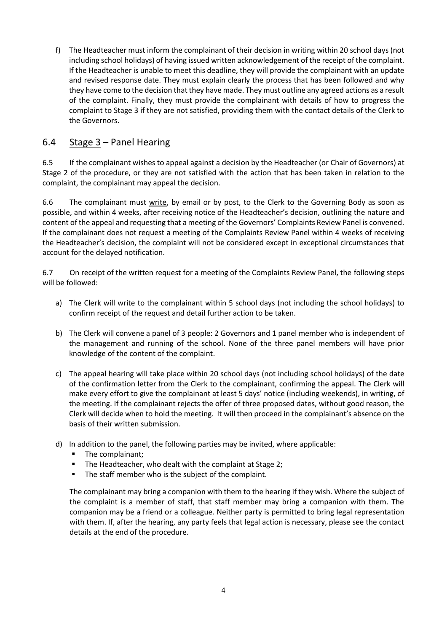f) The Headteacher must inform the complainant of their decision in writing within 20 school days (not including school holidays) of having issued written acknowledgement of the receipt of the complaint. If the Headteacher is unable to meet this deadline, they will provide the complainant with an update and revised response date. They must explain clearly the process that has been followed and why they have come to the decision that they have made. They must outline any agreed actions as a result of the complaint. Finally, they must provide the complainant with details of how to progress the complaint to Stage 3 if they are not satisfied, providing them with the contact details of the Clerk to the Governors.

# 6.4 Stage 3 – Panel Hearing

6.5 If the complainant wishes to appeal against a decision by the Headteacher (or Chair of Governors) at Stage 2 of the procedure, or they are not satisfied with the action that has been taken in relation to the complaint, the complainant may appeal the decision.

6.6 The complainant must write, by email or by post, to the Clerk to the Governing Body as soon as possible, and within 4 weeks, after receiving notice of the Headteacher's decision, outlining the nature and content of the appeal and requesting that a meeting of the Governors' Complaints Review Panel is convened. If the complainant does not request a meeting of the Complaints Review Panel within 4 weeks of receiving the Headteacher's decision, the complaint will not be considered except in exceptional circumstances that account for the delayed notification.

6.7 On receipt of the written request for a meeting of the Complaints Review Panel, the following steps will be followed:

- a) The Clerk will write to the complainant within 5 school days (not including the school holidays) to confirm receipt of the request and detail further action to be taken.
- b) The Clerk will convene a panel of 3 people: 2 Governors and 1 panel member who is independent of the management and running of the school. None of the three panel members will have prior knowledge of the content of the complaint.
- c) The appeal hearing will take place within 20 school days (not including school holidays) of the date of the confirmation letter from the Clerk to the complainant, confirming the appeal. The Clerk will make every effort to give the complainant at least 5 days' notice (including weekends), in writing, of the meeting. If the complainant rejects the offer of three proposed dates, without good reason, the Clerk will decide when to hold the meeting. It will then proceed in the complainant's absence on the basis of their written submission.
- d) In addition to the panel, the following parties may be invited, where applicable:
	- **The complainant;**
	- The Headteacher, who dealt with the complaint at Stage 2;
	- The staff member who is the subject of the complaint.

The complainant may bring a companion with them to the hearing if they wish. Where the subject of the complaint is a member of staff, that staff member may bring a companion with them. The companion may be a friend or a colleague. Neither party is permitted to bring legal representation with them. If, after the hearing, any party feels that legal action is necessary, please see the contact details at the end of the procedure.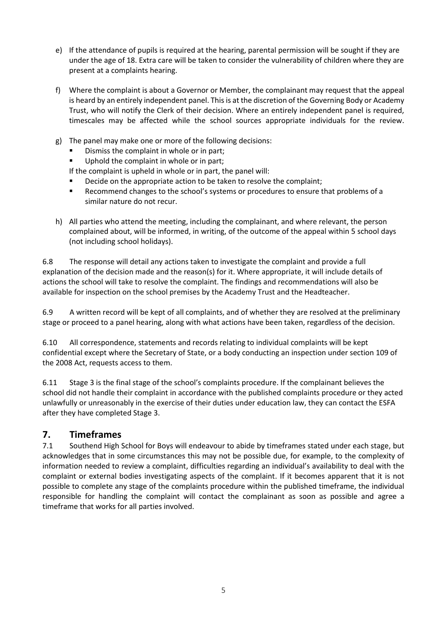- e) If the attendance of pupils is required at the hearing, parental permission will be sought if they are under the age of 18. Extra care will be taken to consider the vulnerability of children where they are present at a complaints hearing.
- f) Where the complaint is about a Governor or Member, the complainant may request that the appeal is heard by an entirely independent panel. This is at the discretion of the Governing Body or Academy Trust, who will notify the Clerk of their decision. Where an entirely independent panel is required, timescales may be affected while the school sources appropriate individuals for the review.
- g) The panel may make one or more of the following decisions:
	- Dismiss the complaint in whole or in part;
	- Uphold the complaint in whole or in part;

If the complaint is upheld in whole or in part, the panel will:

- Decide on the appropriate action to be taken to resolve the complaint;
- Recommend changes to the school's systems or procedures to ensure that problems of a similar nature do not recur.
- h) All parties who attend the meeting, including the complainant, and where relevant, the person complained about, will be informed, in writing, of the outcome of the appeal within 5 school days (not including school holidays).

6.8 The response will detail any actions taken to investigate the complaint and provide a full explanation of the decision made and the reason(s) for it. Where appropriate, it will include details of actions the school will take to resolve the complaint. The findings and recommendations will also be available for inspection on the school premises by the Academy Trust and the Headteacher.

6.9 A written record will be kept of all complaints, and of whether they are resolved at the preliminary stage or proceed to a panel hearing, along with what actions have been taken, regardless of the decision.

6.10 All correspondence, statements and records relating to individual complaints will be kept confidential except where the Secretary of State, or a body conducting an inspection under section 109 of the 2008 Act, requests access to them.

6.11 Stage 3 is the final stage of the school's complaints procedure. If the complainant believes the school did not handle their complaint in accordance with the published complaints procedure or they acted unlawfully or unreasonably in the exercise of their duties under education law, they can contact the ESFA after they have completed Stage 3.

## **7. Timeframes**

7.1 Southend High School for Boys will endeavour to abide by timeframes stated under each stage, but acknowledges that in some circumstances this may not be possible due, for example, to the complexity of information needed to review a complaint, difficulties regarding an individual's availability to deal with the complaint or external bodies investigating aspects of the complaint. If it becomes apparent that it is not possible to complete any stage of the complaints procedure within the published timeframe, the individual responsible for handling the complaint will contact the complainant as soon as possible and agree a timeframe that works for all parties involved.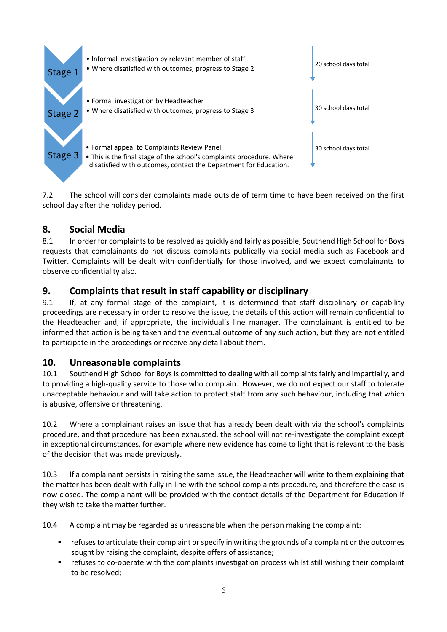

7.2 The school will consider complaints made outside of term time to have been received on the first school day after the holiday period.

## **8. Social Media**

8.1 In order for complaints to be resolved as quickly and fairly as possible, Southend High School for Boys requests that complainants do not discuss complaints publically via social media such as Facebook and Twitter. Complaints will be dealt with confidentially for those involved, and we expect complainants to observe confidentiality also.

## **9. Complaints that result in staff capability or disciplinary**

9.1 If, at any formal stage of the complaint, it is determined that staff disciplinary or capability proceedings are necessary in order to resolve the issue, the details of this action will remain confidential to the Headteacher and, if appropriate, the individual's line manager. The complainant is entitled to be informed that action is being taken and the eventual outcome of any such action, but they are not entitled to participate in the proceedings or receive any detail about them.

## **10. Unreasonable complaints**

10.1 Southend High School for Boys is committed to dealing with all complaints fairly and impartially, and to providing a high-quality service to those who complain. However, we do not expect our staff to tolerate unacceptable behaviour and will take action to protect staff from any such behaviour, including that which is abusive, offensive or threatening.

10.2 Where a complainant raises an issue that has already been dealt with via the school's complaints procedure, and that procedure has been exhausted, the school will not re-investigate the complaint except in exceptional circumstances, for example where new evidence has come to light that is relevant to the basis of the decision that was made previously.

10.3 If a complainant persists in raising the same issue, the Headteacher will write to them explaining that the matter has been dealt with fully in line with the school complaints procedure, and therefore the case is now closed. The complainant will be provided with the contact details of the Department for Education if they wish to take the matter further.

10.4 A complaint may be regarded as unreasonable when the person making the complaint:

- refuses to articulate their complaint or specify in writing the grounds of a complaint or the outcomes sought by raising the complaint, despite offers of assistance;
- refuses to co-operate with the complaints investigation process whilst still wishing their complaint to be resolved;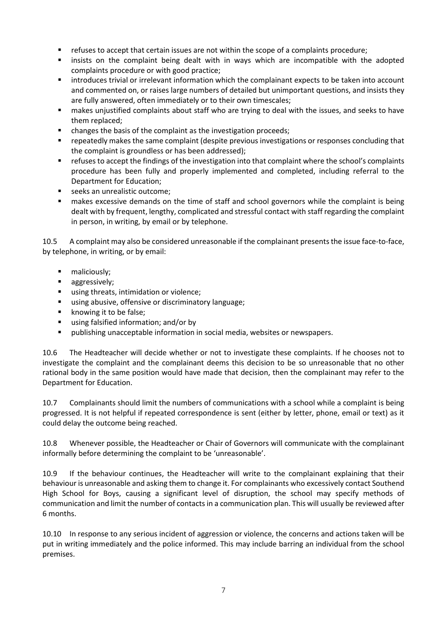- refuses to accept that certain issues are not within the scope of a complaints procedure;
- insists on the complaint being dealt with in ways which are incompatible with the adopted complaints procedure or with good practice;
- introduces trivial or irrelevant information which the complainant expects to be taken into account and commented on, or raises large numbers of detailed but unimportant questions, and insists they are fully answered, often immediately or to their own timescales;
- makes unjustified complaints about staff who are trying to deal with the issues, and seeks to have them replaced;
- changes the basis of the complaint as the investigation proceeds;
- repeatedly makes the same complaint (despite previous investigations or responses concluding that the complaint is groundless or has been addressed);
- refuses to accept the findings of the investigation into that complaint where the school's complaints procedure has been fully and properly implemented and completed, including referral to the Department for Education;
- seeks an unrealistic outcome;
- makes excessive demands on the time of staff and school governors while the complaint is being dealt with by frequent, lengthy, complicated and stressful contact with staff regarding the complaint in person, in writing, by email or by telephone.

10.5 A complaint may also be considered unreasonable if the complainant presents the issue face-to-face, by telephone, in writing, or by email:

- **naliciously;**
- **aggressively;**
- using threats, intimidation or violence;
- using abusive, offensive or discriminatory language;
- knowing it to be false;
- using falsified information; and/or by
- publishing unacceptable information in social media, websites or newspapers.

10.6 The Headteacher will decide whether or not to investigate these complaints. If he chooses not to investigate the complaint and the complainant deems this decision to be so unreasonable that no other rational body in the same position would have made that decision, then the complainant may refer to the Department for Education.

10.7 Complainants should limit the numbers of communications with a school while a complaint is being progressed. It is not helpful if repeated correspondence is sent (either by letter, phone, email or text) as it could delay the outcome being reached.

10.8 Whenever possible, the Headteacher or Chair of Governors will communicate with the complainant informally before determining the complaint to be 'unreasonable'.

10.9 If the behaviour continues, the Headteacher will write to the complainant explaining that their behaviour is unreasonable and asking them to change it. For complainants who excessively contact Southend High School for Boys, causing a significant level of disruption, the school may specify methods of communication and limit the number of contacts in a communication plan. This will usually be reviewed after 6 months.

10.10 In response to any serious incident of aggression or violence, the concerns and actions taken will be put in writing immediately and the police informed. This may include barring an individual from the school premises.